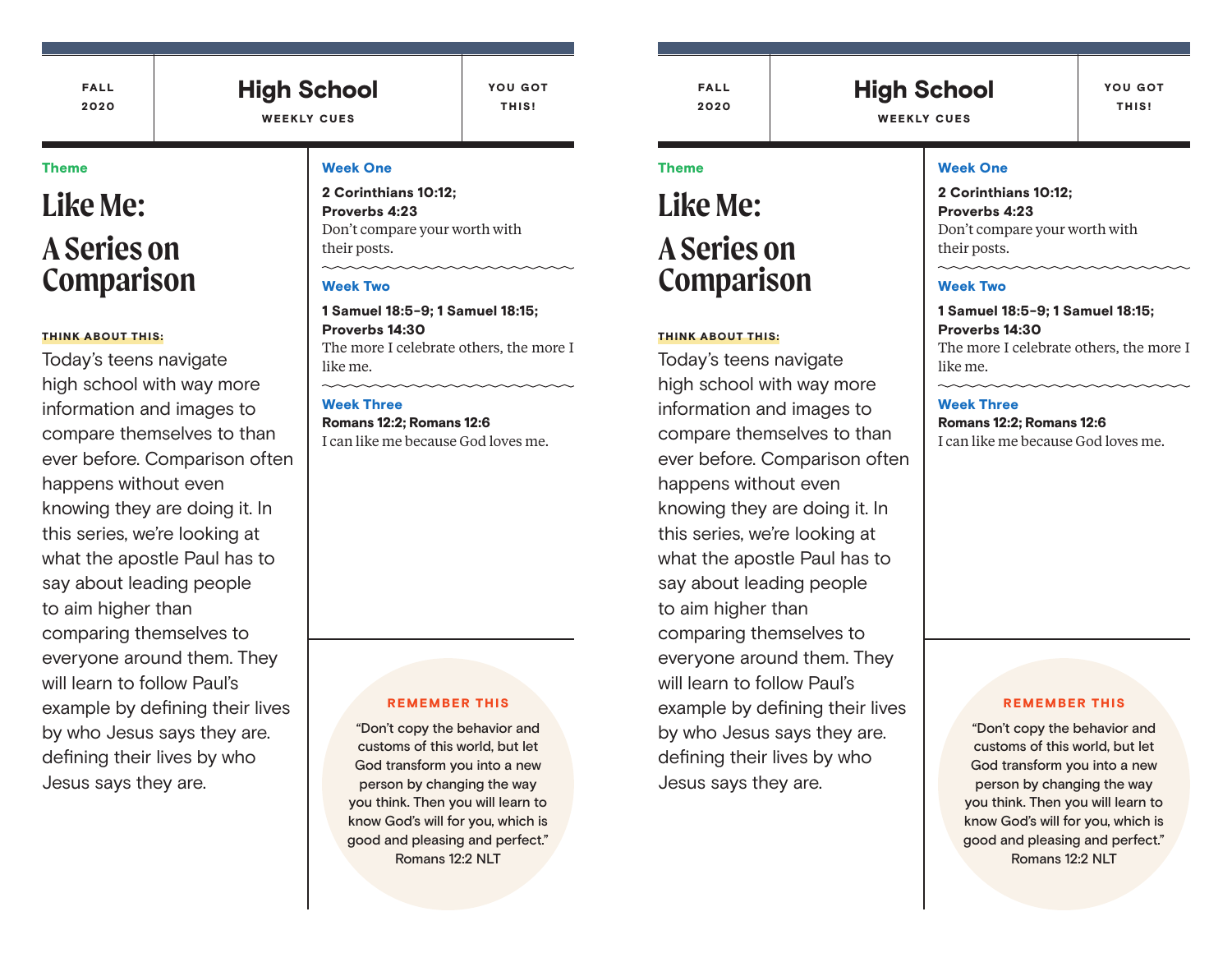FALL 2020

### High School WEEKLY CUES

YOU GOT THIS!

#### Theme

# **Like Me: A Series on Comparison**

#### THINK ABOUT THIS:

Today's teens navigate high school with way more information and images to compare themselves to than ever before. Comparison often happens without even knowing they are doing it. In this series, we're looking at what the apostle Paul has to say about leading people to aim higher than comparing themselves to everyone around them. They will learn to follow Paul's example by defining their lives by who Jesus says they are. defining their lives by who Jesus says they are.

#### Week One

2 Corinthians 10:12; Proverbs 4:23 Don't compare your worth with their posts.

#### Week Two

1 Samuel 18:5-9; 1 Samuel 18:15; Proverbs 14:30 The more I celebrate others, the more I like me.

#### Week Three

Romans 12:2; Romans 12:6 I can like me because God loves me.

#### REMEMBER THIS

"Don't copy the behavior and customs of this world, but let God transform you into a new person by changing the way you think. Then you will learn to know God's will for you, which is good and pleasing and perfect." Romans 12:2 NLT